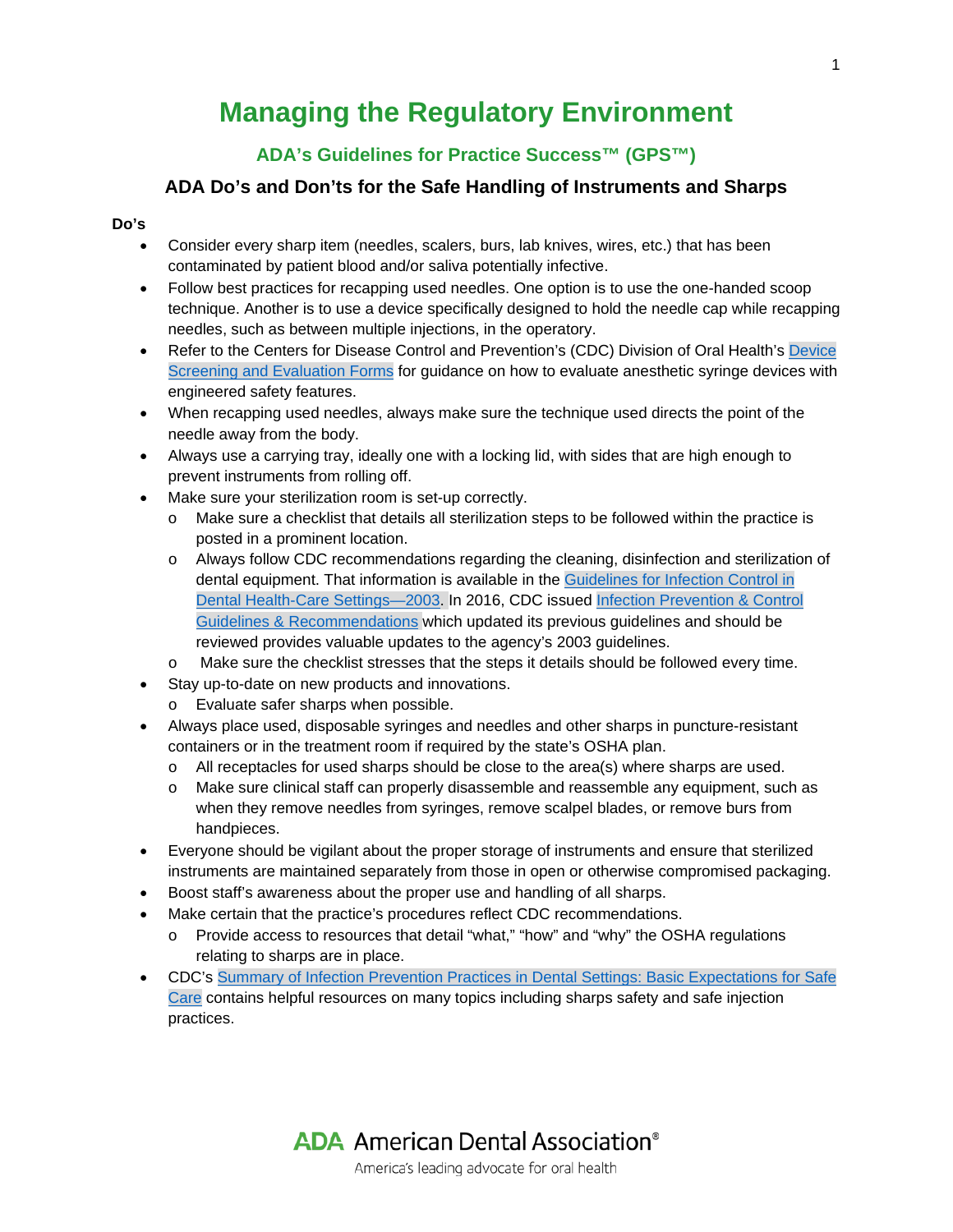# **Managing the Regulatory Environment**

## **ADA's Guidelines for Practice Success™ (GPS™)**

## **ADA Do's and Don'ts for the Safe Handling of Instruments and Sharps**

### **Do's**

- Consider every sharp item (needles, scalers, burs, lab knives, wires, etc.) that has been contaminated by patient blood and/or saliva potentially infective.
- Follow best practices for recapping used needles. One option is to use the one-handed scoop technique. Another is to use a device specifically designed to hold the needle cap while recapping needles, such as between multiple injections, in the operatory.
- Refer to the Centers for Disease Control and Prevention's (CDC) Division of Oral Health's Device [Screening and Evaluation Forms](http://www.cdc.gov/OralHealth/infectioncontrol/forms.htm) for guidance on how to evaluate anesthetic syringe devices with engineered safety features.
- When recapping used needles, always make sure the technique used directs the point of the needle away from the body.
- Always use a carrying tray, ideally one with a locking lid, with sides that are high enough to prevent instruments from rolling off.
- Make sure your sterilization room is set-up correctly.
	- o Make sure a checklist that details all sterilization steps to be followed within the practice is posted in a prominent location.
	- o Always follow CDC recommendations regarding the cleaning, disinfection and sterilization of dental equipment. That information is available in the [Guidelines for Infection Control in](http://www.cdc.gov/mmwr/PDF/rr/rr5217.pdf)  [Dental Health-Care Settings—2003.](http://www.cdc.gov/mmwr/PDF/rr/rr5217.pdf) In 2016, CDC issued [Infection Prevention & Control](https://www.cdc.gov/oralhealth/infectioncontrol/guidelines/)  [Guidelines & Recommendations](https://www.cdc.gov/oralhealth/infectioncontrol/guidelines/) which updated its previous guidelines and should be reviewed provides valuable updates to the agency's 2003 guidelines.
	- o Make sure the checklist stresses that the steps it details should be followed every time.
- Stay up-to-date on new products and innovations.
	- o Evaluate safer sharps when possible.
- Always place used, disposable syringes and needles and other sharps in puncture-resistant containers or in the treatment room if required by the state's OSHA plan.
	- o All receptacles for used sharps should be close to the area(s) where sharps are used.
	- o Make sure clinical staff can properly disassemble and reassemble any equipment, such as when they remove needles from syringes, remove scalpel blades, or remove burs from handpieces.
- Everyone should be vigilant about the proper storage of instruments and ensure that sterilized instruments are maintained separately from those in open or otherwise compromised packaging.
- Boost staff's awareness about the proper use and handling of all sharps.
- Make certain that the practice's procedures reflect CDC recommendations.
	- o Provide access to resources that detail "what," "how" and "why" the OSHA regulations relating to sharps are in place.
- CDC's [Summary of Infection Prevention Practices in Dental Settings: Basic Expectations for Safe](https://www.cdc.gov/oralhealth/infectioncontrol/pdf/safe-care2.pdf)  [Care](http://www.cdc.gov/oralhealth/infectioncontrol/pdf/safe-care.pdf) contains helpful resources on many topics including sharps safety and safe injection practices.